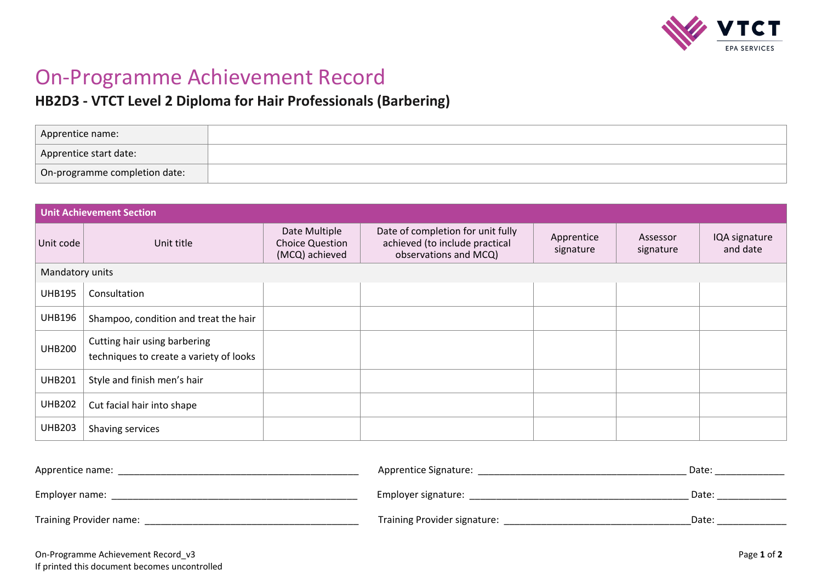

# On-Programme Achievement Record

## **HB2D3 - VTCT Level 2 Diploma for Hair Professionals (Barbering)**

| Apprentice name:              |  |
|-------------------------------|--|
| Apprentice start date:        |  |
| On-programme completion date: |  |

| <b>Unit Achievement Section</b> |                                                                         |                                                           |                                                                                              |                         |                       |                           |
|---------------------------------|-------------------------------------------------------------------------|-----------------------------------------------------------|----------------------------------------------------------------------------------------------|-------------------------|-----------------------|---------------------------|
| Unit code                       | Unit title                                                              | Date Multiple<br><b>Choice Question</b><br>(MCQ) achieved | Date of completion for unit fully<br>achieved (to include practical<br>observations and MCQ) | Apprentice<br>signature | Assessor<br>signature | IQA signature<br>and date |
| Mandatory units                 |                                                                         |                                                           |                                                                                              |                         |                       |                           |
| <b>UHB195</b>                   | Consultation                                                            |                                                           |                                                                                              |                         |                       |                           |
| <b>UHB196</b>                   | Shampoo, condition and treat the hair                                   |                                                           |                                                                                              |                         |                       |                           |
| <b>UHB200</b>                   | Cutting hair using barbering<br>techniques to create a variety of looks |                                                           |                                                                                              |                         |                       |                           |
| <b>UHB201</b>                   | Style and finish men's hair                                             |                                                           |                                                                                              |                         |                       |                           |
| <b>UHB202</b>                   | Cut facial hair into shape                                              |                                                           |                                                                                              |                         |                       |                           |
| <b>UHB203</b>                   | Shaving services                                                        |                                                           |                                                                                              |                         |                       |                           |
|                                 |                                                                         |                                                           |                                                                                              |                         |                       |                           |

| Apprentice name:        | Apprentice Signature:        | Date: |
|-------------------------|------------------------------|-------|
| Employer name:          | Employer signature:          | Date: |
| Training Provider name: | Training Provider signature: | Date: |